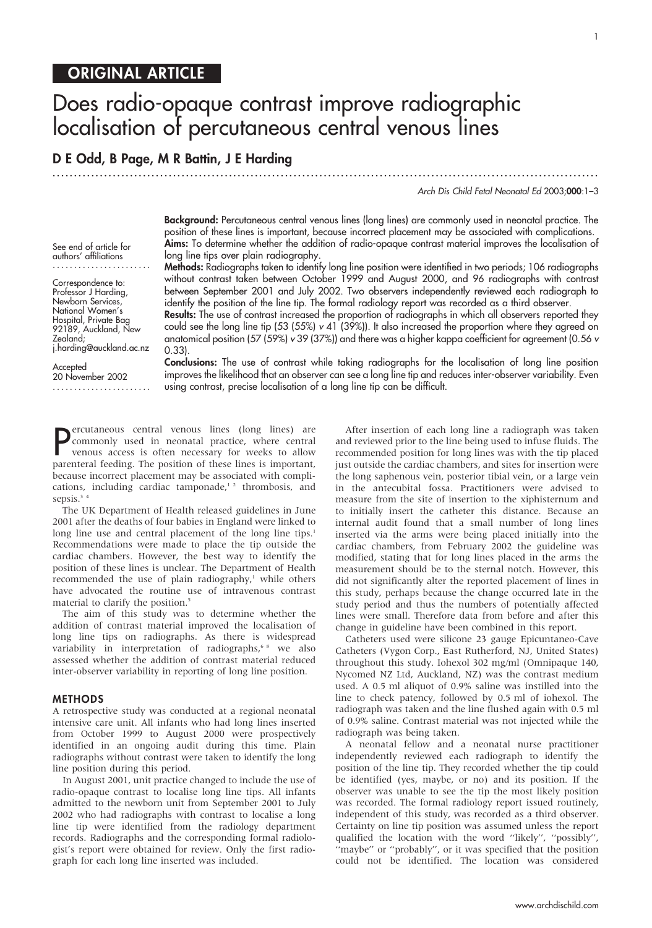# Does radio-opaque contrast improve radiographic localisation of percutaneous central venous lines

...............................................................................................................................

# D E Odd, B Page, M R Battin, J E Harding

Arch Dis Child Fetal Neonatal Ed 2003;000:1–3

Background: Percutaneous central venous lines (long lines) are commonly used in neonatal practice. The position of these lines is important, because incorrect placement may be associated with complications. Aims: To determine whether the addition of radio-opaque contrast material improves the localisation of long line tips over plain radiography.

Methods: Radiographs taken to identify long line position were identified in two periods; 106 radiographs without contrast taken between October 1999 and August 2000, and 96 radiographs with contrast between September 2001 and July 2002. Two observers independently reviewed each radiograph to identify the position of the line tip. The formal radiology report was recorded as a third observer.

**Results:** The use of contrast increased the proportion of radiographs in which all observers reported they could see the long line tip (53 (55%)  $v$  41 (39%)). It also increased the proportion where they agreed on anatomical position (57 (59%) v 39 (37%)) and there was a higher kappa coefficient for agreement (0.56 v 0.33).

Conclusions: The use of contrast while taking radiographs for the localisation of long line position improves the likelihood that an observer can see a long line tip and reduces inter-observer variability. Even using contrast, precise localisation of a long line tip can be difficult.

**P**ercutaneous central venous lines (long lines) are<br>commonly used in neonatal practice, where central<br>venous access is often necessary for weeks to allow<br>parenteral feeding. The position of these lines is important, ercutaneous central venous lines (long lines) are commonly used in neonatal practice, where central venous access is often necessary for weeks to allow because incorrect placement may be associated with complications, including cardiac tamponade,<sup>12</sup> thrombosis, and sepsis.<sup>34</sup>

The UK Department of Health released guidelines in June 2001 after the deaths of four babies in England were linked to long line use and central placement of the long line tips.<sup>1</sup> Recommendations were made to place the tip outside the cardiac chambers. However, the best way to identify the position of these lines is unclear. The Department of Health recommended the use of plain radiography,<sup>1</sup> while others have advocated the routine use of intravenous contrast material to clarify the position.<sup>5</sup>

The aim of this study was to determine whether the addition of contrast material improved the localisation of long line tips on radiographs. As there is widespread variability in interpretation of radiographs, we also assessed whether the addition of contrast material reduced inter-observer variability in reporting of long line position.

#### METHODS

A retrospective study was conducted at a regional neonatal intensive care unit. All infants who had long lines inserted from October 1999 to August 2000 were prospectively identified in an ongoing audit during this time. Plain radiographs without contrast were taken to identify the long line position during this period.

In August 2001, unit practice changed to include the use of radio-opaque contrast to localise long line tips. All infants admitted to the newborn unit from September 2001 to July 2002 who had radiographs with contrast to localise a long line tip were identified from the radiology department records. Radiographs and the corresponding formal radiologist's report were obtained for review. Only the first radiograph for each long line inserted was included.

After insertion of each long line a radiograph was taken and reviewed prior to the line being used to infuse fluids. The recommended position for long lines was with the tip placed just outside the cardiac chambers, and sites for insertion were the long saphenous vein, posterior tibial vein, or a large vein in the antecubital fossa. Practitioners were advised to measure from the site of insertion to the xiphisternum and to initially insert the catheter this distance. Because an internal audit found that a small number of long lines inserted via the arms were being placed initially into the cardiac chambers, from February 2002 the guideline was modified, stating that for long lines placed in the arms the measurement should be to the sternal notch. However, this did not significantly alter the reported placement of lines in this study, perhaps because the change occurred late in the study period and thus the numbers of potentially affected lines were small. Therefore data from before and after this change in guideline have been combined in this report.

Catheters used were silicone 23 gauge Epicuntaneo-Cave Catheters (Vygon Corp., East Rutherford, NJ, United States) throughout this study. Iohexol 302 mg/ml (Omnipaque 140, Nycomed NZ Ltd, Auckland, NZ) was the contrast medium used. A 0.5 ml aliquot of 0.9% saline was instilled into the line to check patency, followed by 0.5 ml of iohexol. The radiograph was taken and the line flushed again with 0.5 ml of 0.9% saline. Contrast material was not injected while the radiograph was being taken.

A neonatal fellow and a neonatal nurse practitioner independently reviewed each radiograph to identify the position of the line tip. They recorded whether the tip could be identified (yes, maybe, or no) and its position. If the observer was unable to see the tip the most likely position was recorded. The formal radiology report issued routinely, independent of this study, was recorded as a third observer. Certainty on line tip position was assumed unless the report qualified the location with the word ''likely'', ''possibly'', "maybe" or "probably", or it was specified that the position could not be identified. The location was considered

See end of article for authors' affiliations .......................

Correspondence to: Professor J Harding, Newborn Services, National Women's Hospital, Private Bag 92189, Auckland, New Zealand; j.harding@auckland.ac.nz

Accepted 20 November 2002 .......................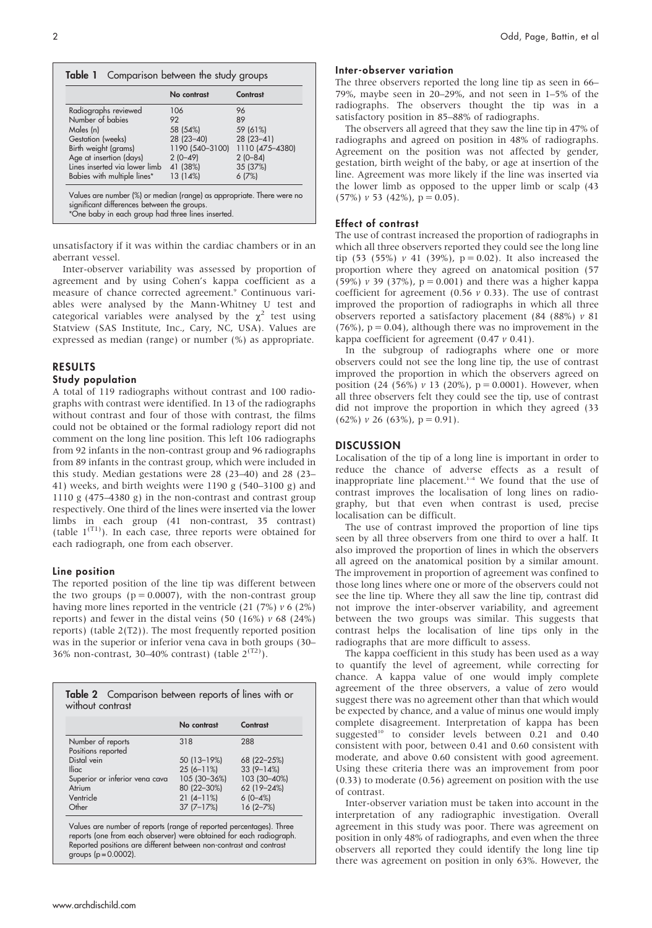| 96<br>89        |
|-----------------|
|                 |
|                 |
| 59 (61%)        |
| $28(23 - 41)$   |
| 1110 (475-4380) |
| $2(0-84)$       |
| 35 (37%)        |
| 6(7%)           |
|                 |

unsatisfactory if it was within the cardiac chambers or in an aberrant vessel.

Inter-observer variability was assessed by proportion of agreement and by using Cohen's kappa coefficient as a measure of chance corrected agreement.<sup>9</sup> Continuous variables were analysed by the Mann-Whitney U test and categorical variables were analysed by the  $\chi^2$  test using Statview (SAS Institute, Inc., Cary, NC, USA). Values are expressed as median (range) or number (%) as appropriate.

## RESULTS

#### Study population

A total of 119 radiographs without contrast and 100 radiographs with contrast were identified. In 13 of the radiographs without contrast and four of those with contrast, the films could not be obtained or the formal radiology report did not comment on the long line position. This left 106 radiographs from 92 infants in the non-contrast group and 96 radiographs from 89 infants in the contrast group, which were included in this study. Median gestations were 28 (23–40) and 28 (23– 41) weeks, and birth weights were 1190 g (540–3100 g) and 1110 g (475–4380 g) in the non-contrast and contrast group respectively. One third of the lines were inserted via the lower limbs in each group (41 non-contrast, 35 contrast) (table  $1^{(T1)}$ ). In each case, three reports were obtained for each radiograph, one from each observer.

### Line position

The reported position of the line tip was different between the two groups ( $p = 0.0007$ ), with the non-contrast group having more lines reported in the ventricle  $(21 (7%) v 6 (2%)$ reports) and fewer in the distal veins (50 (16%)  $\nu$  68 (24%) reports) (table 2(T2)). The most frequently reported position was in the superior or inferior vena cava in both groups (30– 36% non-contrast, 30–40% contrast) (table  $2^{(T2)}$ ).

|                                         | No contrast    | Contrast     |
|-----------------------------------------|----------------|--------------|
| Number of reports<br>Positions reported | 318            | 288          |
| Distal vein                             | 50 (13-19%)    | 68 (22-25%)  |
| <b>Iliac</b>                            | $25(6 - 11\%)$ | $33(9-14%)$  |
| Superior or inferior vena cava          | 105 (30-36%)   | 103 (30-40%) |
| Atrium                                  | 80 (22-30%)    | 62 (19-24%)  |
| Ventricle                               | $21(4-11%)$    | $6(0-4%)$    |
| Other                                   | $37(7 - 17%)$  | $16(2 - 7%)$ |

Values are number of reports (range of reported percentages). Three reports (one from each observer) were obtained for each radiograph. Reported positions are different between non-contrast and contrast groups  $(p = 0.0002)$ .

#### Inter-observer variation

The three observers reported the long line tip as seen in 66– 79%, maybe seen in 20–29%, and not seen in 1–5% of the radiographs. The observers thought the tip was in a satisfactory position in 85–88% of radiographs.

The observers all agreed that they saw the line tip in 47% of radiographs and agreed on position in 48% of radiographs. Agreement on the position was not affected by gender, gestation, birth weight of the baby, or age at insertion of the line. Agreement was more likely if the line was inserted via the lower limb as opposed to the upper limb or scalp (43  $(57\%) v 53 (42\%)$ ,  $p = 0.05$ ).

#### Effect of contrast

The use of contrast increased the proportion of radiographs in which all three observers reported they could see the long line tip (53 (55%)  $v$  41 (39%),  $p = 0.02$ ). It also increased the proportion where they agreed on anatomical position (57 (59%)  $\nu$  39 (37%),  $p = 0.001$ ) and there was a higher kappa coefficient for agreement (0.56  $\nu$  0.33). The use of contrast improved the proportion of radiographs in which all three observers reported a satisfactory placement (84 (88%) v 81  $(76%)$ ,  $p = 0.04$ ), although there was no improvement in the kappa coefficient for agreement  $(0.47 \nu 0.41)$ .

In the subgroup of radiographs where one or more observers could not see the long line tip, the use of contrast improved the proportion in which the observers agreed on position (24 (56%)  $\nu$  13 (20%), p = 0.0001). However, when all three observers felt they could see the tip, use of contrast did not improve the proportion in which they agreed (33  $(62\%) v 26 (63\%)$ , p = 0.91).

## **DISCUSSION**

Localisation of the tip of a long line is important in order to reduce the chance of adverse effects as a result of inappropriate line placement.<sup>1-4</sup> We found that the use of contrast improves the localisation of long lines on radiography, but that even when contrast is used, precise localisation can be difficult.

The use of contrast improved the proportion of line tips seen by all three observers from one third to over a half. It also improved the proportion of lines in which the observers all agreed on the anatomical position by a similar amount. The improvement in proportion of agreement was confined to those long lines where one or more of the observers could not see the line tip. Where they all saw the line tip, contrast did not improve the inter-observer variability, and agreement between the two groups was similar. This suggests that contrast helps the localisation of line tips only in the radiographs that are more difficult to assess.

The kappa coefficient in this study has been used as a way to quantify the level of agreement, while correcting for chance. A kappa value of one would imply complete agreement of the three observers, a value of zero would suggest there was no agreement other than that which would be expected by chance, and a value of minus one would imply complete disagreement. Interpretation of kappa has been suggested<sup>10</sup> to consider levels between 0.21 and 0.40 consistent with poor, between 0.41 and 0.60 consistent with moderate, and above 0.60 consistent with good agreement. Using these criteria there was an improvement from poor (0.33) to moderate (0.56) agreement on position with the use of contrast.

Inter-observer variation must be taken into account in the interpretation of any radiographic investigation. Overall agreement in this study was poor. There was agreement on position in only 48% of radiographs, and even when the three observers all reported they could identify the long line tip there was agreement on position in only 63%. However, the